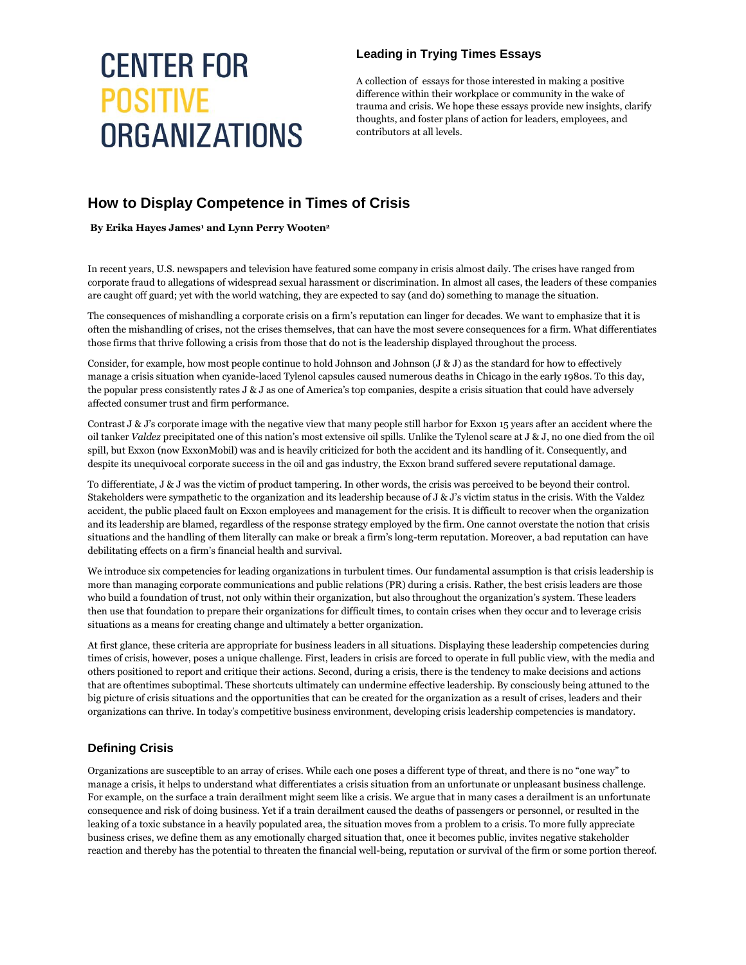# **CENTER FOR POSITIVE ORGANIZATIONS**

# **Leading in Trying Times Essays**

A collection of essays for those interested in making a positive difference within their workplace or community in the wake of trauma and crisis. We hope these essays provide new insights, clarify thoughts, and foster plans of action for leaders, employees, and contributors at all levels.

# **How to Display Competence in Times of Crisis**

**By Erika Hayes James<sup>1</sup> and Lynn Perry Wooten<sup>2</sup>**

In recent years, U.S. newspapers and television have featured some company in crisis almost daily. The crises have ranged from corporate fraud to allegations of widespread sexual harassment or discrimination. In almost all cases, the leaders of these companies are caught off guard; yet with the world watching, they are expected to say (and do) something to manage the situation.

The consequences of mishandling a corporate crisis on a firm's reputation can linger for decades. We want to emphasize that it is often the mishandling of crises, not the crises themselves, that can have the most severe consequences for a firm. What differentiates those firms that thrive following a crisis from those that do not is the leadership displayed throughout the process.

Consider, for example, how most people continue to hold Johnson and Johnson (J & J) as the standard for how to effectively manage a crisis situation when cyanide-laced Tylenol capsules caused numerous deaths in Chicago in the early 1980s. To this day, the popular press consistently rates J & J as one of America's top companies, despite a crisis situation that could have adversely affected consumer trust and firm performance.

Contrast J & J's corporate image with the negative view that many people still harbor for Exxon 15 years after an accident where the oil tanker *Valdez* precipitated one of this nation's most extensive oil spills. Unlike the Tylenol scare at J & J, no one died from the oil spill, but Exxon (now ExxonMobil) was and is heavily criticized for both the accident and its handling of it. Consequently, and despite its unequivocal corporate success in the oil and gas industry, the Exxon brand suffered severe reputational damage.

To differentiate, J & J was the victim of product tampering. In other words, the crisis was perceived to be beyond their control. Stakeholders were sympathetic to the organization and its leadership because of J & J's victim status in the crisis. With the Valdez accident, the public placed fault on Exxon employees and management for the crisis. It is difficult to recover when the organization and its leadership are blamed, regardless of the response strategy employed by the firm. One cannot overstate the notion that crisis situations and the handling of them literally can make or break a firm's long-term reputation. Moreover, a bad reputation can have debilitating effects on a firm's financial health and survival.

We introduce six competencies for leading organizations in turbulent times. Our fundamental assumption is that crisis leadership is more than managing corporate communications and public relations (PR) during a crisis. Rather, the best crisis leaders are those who build a foundation of trust, not only within their organization, but also throughout the organization's system. These leaders then use that foundation to prepare their organizations for difficult times, to contain crises when they occur and to leverage crisis situations as a means for creating change and ultimately a better organization.

At first glance, these criteria are appropriate for business leaders in all situations. Displaying these leadership competencies during times of crisis, however, poses a unique challenge. First, leaders in crisis are forced to operate in full public view, with the media and others positioned to report and critique their actions. Second, during a crisis, there is the tendency to make decisions and actions that are oftentimes suboptimal. These shortcuts ultimately can undermine effective leadership. By consciously being attuned to the big picture of crisis situations and the opportunities that can be created for the organization as a result of crises, leaders and their organizations can thrive. In today's competitive business environment, developing crisis leadership competencies is mandatory.

## **Defining Crisis**

Organizations are susceptible to an array of crises. While each one poses a different type of threat, and there is no "one way" to manage a crisis, it helps to understand what differentiates a crisis situation from an unfortunate or unpleasant business challenge. For example, on the surface a train derailment might seem like a crisis. We argue that in many cases a derailment is an unfortunate consequence and risk of doing business. Yet if a train derailment caused the deaths of passengers or personnel, or resulted in the leaking of a toxic substance in a heavily populated area, the situation moves from a problem to a crisis. To more fully appreciate business crises, we define them as any emotionally charged situation that, once it becomes public, invites negative stakeholder reaction and thereby has the potential to threaten the financial well-being, reputation or survival of the firm or some portion thereof.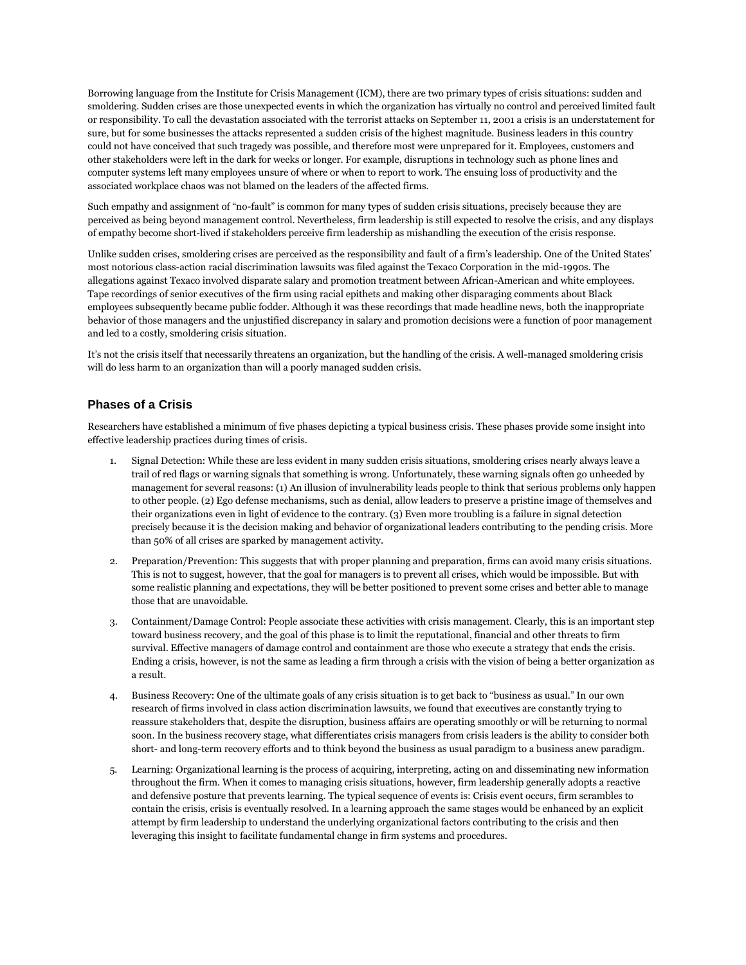Borrowing language from the Institute for Crisis Management (ICM), there are two primary types of crisis situations: sudden and smoldering. Sudden crises are those unexpected events in which the organization has virtually no control and perceived limited fault or responsibility. To call the devastation associated with the terrorist attacks on September 11, 2001 a crisis is an understatement for sure, but for some businesses the attacks represented a sudden crisis of the highest magnitude. Business leaders in this country could not have conceived that such tragedy was possible, and therefore most were unprepared for it. Employees, customers and other stakeholders were left in the dark for weeks or longer. For example, disruptions in technology such as phone lines and computer systems left many employees unsure of where or when to report to work. The ensuing loss of productivity and the associated workplace chaos was not blamed on the leaders of the affected firms.

Such empathy and assignment of "no-fault" is common for many types of sudden crisis situations, precisely because they are perceived as being beyond management control. Nevertheless, firm leadership is still expected to resolve the crisis, and any displays of empathy become short-lived if stakeholders perceive firm leadership as mishandling the execution of the crisis response.

Unlike sudden crises, smoldering crises are perceived as the responsibility and fault of a firm's leadership. One of the United States' most notorious class-action racial discrimination lawsuits was filed against the Texaco Corporation in the mid-1990s. The allegations against Texaco involved disparate salary and promotion treatment between African-American and white employees. Tape recordings of senior executives of the firm using racial epithets and making other disparaging comments about Black employees subsequently became public fodder. Although it was these recordings that made headline news, both the inappropriate behavior of those managers and the unjustified discrepancy in salary and promotion decisions were a function of poor management and led to a costly, smoldering crisis situation.

It's not the crisis itself that necessarily threatens an organization, but the handling of the crisis. A well-managed smoldering crisis will do less harm to an organization than will a poorly managed sudden crisis.

#### **Phases of a Crisis**

Researchers have established a minimum of five phases depicting a typical business crisis. These phases provide some insight into effective leadership practices during times of crisis.

- 1. Signal Detection: While these are less evident in many sudden crisis situations, smoldering crises nearly always leave a trail of red flags or warning signals that something is wrong. Unfortunately, these warning signals often go unheeded by management for several reasons: (1) An illusion of invulnerability leads people to think that serious problems only happen to other people. (2) Ego defense mechanisms, such as denial, allow leaders to preserve a pristine image of themselves and their organizations even in light of evidence to the contrary. (3) Even more troubling is a failure in signal detection precisely because it is the decision making and behavior of organizational leaders contributing to the pending crisis. More than 50% of all crises are sparked by management activity.
- 2. Preparation/Prevention: This suggests that with proper planning and preparation, firms can avoid many crisis situations. This is not to suggest, however, that the goal for managers is to prevent all crises, which would be impossible. But with some realistic planning and expectations, they will be better positioned to prevent some crises and better able to manage those that are unavoidable.
- 3. Containment/Damage Control: People associate these activities with crisis management. Clearly, this is an important step toward business recovery, and the goal of this phase is to limit the reputational, financial and other threats to firm survival. Effective managers of damage control and containment are those who execute a strategy that ends the crisis. Ending a crisis, however, is not the same as leading a firm through a crisis with the vision of being a better organization as a result.
- 4. Business Recovery: One of the ultimate goals of any crisis situation is to get back to "business as usual." In our own research of firms involved in class action discrimination lawsuits, we found that executives are constantly trying to reassure stakeholders that, despite the disruption, business affairs are operating smoothly or will be returning to normal soon. In the business recovery stage, what differentiates crisis managers from crisis leaders is the ability to consider both short- and long-term recovery efforts and to think beyond the business as usual paradigm to a business anew paradigm.
- 5. Learning: Organizational learning is the process of acquiring, interpreting, acting on and disseminating new information throughout the firm. When it comes to managing crisis situations, however, firm leadership generally adopts a reactive and defensive posture that prevents learning. The typical sequence of events is: Crisis event occurs, firm scrambles to contain the crisis, crisis is eventually resolved. In a learning approach the same stages would be enhanced by an explicit attempt by firm leadership to understand the underlying organizational factors contributing to the crisis and then leveraging this insight to facilitate fundamental change in firm systems and procedures.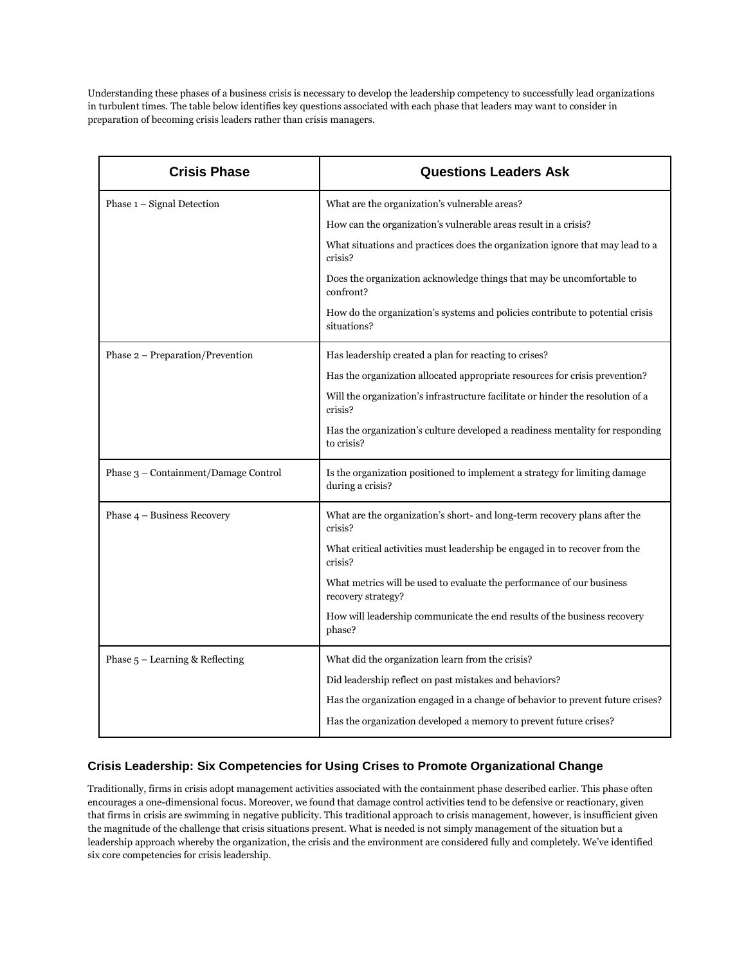Understanding these phases of a business crisis is necessary to develop the leadership competency to successfully lead organizations in turbulent times. The table below identifies key questions associated with each phase that leaders may want to consider in preparation of becoming crisis leaders rather than crisis managers.

| <b>Crisis Phase</b>                  | <b>Questions Leaders Ask</b>                                                                   |
|--------------------------------------|------------------------------------------------------------------------------------------------|
| Phase 1 - Signal Detection           | What are the organization's vulnerable areas?                                                  |
|                                      | How can the organization's vulnerable areas result in a crisis?                                |
|                                      | What situations and practices does the organization ignore that may lead to a<br>crisis?       |
|                                      | Does the organization acknowledge things that may be uncomfortable to<br>confront?             |
|                                      | How do the organization's systems and policies contribute to potential crisis<br>situations?   |
| Phase 2 – Preparation/Prevention     | Has leadership created a plan for reacting to crises?                                          |
|                                      | Has the organization allocated appropriate resources for crisis prevention?                    |
|                                      | Will the organization's infrastructure facilitate or hinder the resolution of a<br>crisis?     |
|                                      | Has the organization's culture developed a readiness mentality for responding<br>to crisis?    |
| Phase 3 - Containment/Damage Control | Is the organization positioned to implement a strategy for limiting damage<br>during a crisis? |
| Phase $4$ – Business Recovery        | What are the organization's short- and long-term recovery plans after the<br>crisis?           |
|                                      | What critical activities must leadership be engaged in to recover from the<br>crisis?          |
|                                      | What metrics will be used to evaluate the performance of our business<br>recovery strategy?    |
|                                      | How will leadership communicate the end results of the business recovery<br>phase?             |
| Phase $5$ – Learning & Reflecting    | What did the organization learn from the crisis?                                               |
|                                      | Did leadership reflect on past mistakes and behaviors?                                         |
|                                      | Has the organization engaged in a change of behavior to prevent future crises?                 |
|                                      | Has the organization developed a memory to prevent future crises?                              |

## **Crisis Leadership: Six Competencies for Using Crises to Promote Organizational Change**

Traditionally, firms in crisis adopt management activities associated with the containment phase described earlier. This phase often encourages a one-dimensional focus. Moreover, we found that damage control activities tend to be defensive or reactionary, given that firms in crisis are swimming in negative publicity. This traditional approach to crisis management, however, is insufficient given the magnitude of the challenge that crisis situations present. What is needed is not simply management of the situation but a leadership approach whereby the organization, the crisis and the environment are considered fully and completely. We've identified six core competencies for crisis leadership.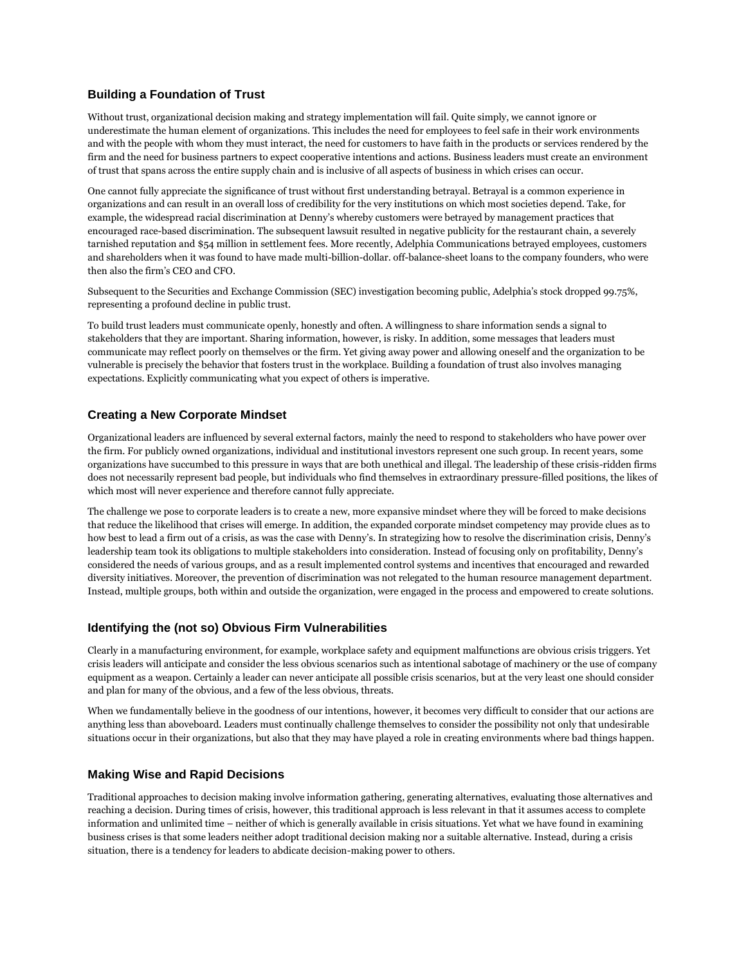#### **Building a Foundation of Trust**

Without trust, organizational decision making and strategy implementation will fail. Quite simply, we cannot ignore or underestimate the human element of organizations. This includes the need for employees to feel safe in their work environments and with the people with whom they must interact, the need for customers to have faith in the products or services rendered by the firm and the need for business partners to expect cooperative intentions and actions. Business leaders must create an environment of trust that spans across the entire supply chain and is inclusive of all aspects of business in which crises can occur.

One cannot fully appreciate the significance of trust without first understanding betrayal. Betrayal is a common experience in organizations and can result in an overall loss of credibility for the very institutions on which most societies depend. Take, for example, the widespread racial discrimination at Denny's whereby customers were betrayed by management practices that encouraged race-based discrimination. The subsequent lawsuit resulted in negative publicity for the restaurant chain, a severely tarnished reputation and \$54 million in settlement fees. More recently, Adelphia Communications betrayed employees, customers and shareholders when it was found to have made multi-billion-dollar. off-balance-sheet loans to the company founders, who were then also the firm's CEO and CFO.

Subsequent to the Securities and Exchange Commission (SEC) investigation becoming public, Adelphia's stock dropped 99.75%, representing a profound decline in public trust.

To build trust leaders must communicate openly, honestly and often. A willingness to share information sends a signal to stakeholders that they are important. Sharing information, however, is risky. In addition, some messages that leaders must communicate may reflect poorly on themselves or the firm. Yet giving away power and allowing oneself and the organization to be vulnerable is precisely the behavior that fosters trust in the workplace. Building a foundation of trust also involves managing expectations. Explicitly communicating what you expect of others is imperative.

#### **Creating a New Corporate Mindset**

Organizational leaders are influenced by several external factors, mainly the need to respond to stakeholders who have power over the firm. For publicly owned organizations, individual and institutional investors represent one such group. In recent years, some organizations have succumbed to this pressure in ways that are both unethical and illegal. The leadership of these crisis-ridden firms does not necessarily represent bad people, but individuals who find themselves in extraordinary pressure-filled positions, the likes of which most will never experience and therefore cannot fully appreciate.

The challenge we pose to corporate leaders is to create a new, more expansive mindset where they will be forced to make decisions that reduce the likelihood that crises will emerge. In addition, the expanded corporate mindset competency may provide clues as to how best to lead a firm out of a crisis, as was the case with Denny's. In strategizing how to resolve the discrimination crisis, Denny's leadership team took its obligations to multiple stakeholders into consideration. Instead of focusing only on profitability, Denny's considered the needs of various groups, and as a result implemented control systems and incentives that encouraged and rewarded diversity initiatives. Moreover, the prevention of discrimination was not relegated to the human resource management department. Instead, multiple groups, both within and outside the organization, were engaged in the process and empowered to create solutions.

#### **Identifying the (not so) Obvious Firm Vulnerabilities**

Clearly in a manufacturing environment, for example, workplace safety and equipment malfunctions are obvious crisis triggers. Yet crisis leaders will anticipate and consider the less obvious scenarios such as intentional sabotage of machinery or the use of company equipment as a weapon. Certainly a leader can never anticipate all possible crisis scenarios, but at the very least one should consider and plan for many of the obvious, and a few of the less obvious, threats.

When we fundamentally believe in the goodness of our intentions, however, it becomes very difficult to consider that our actions are anything less than aboveboard. Leaders must continually challenge themselves to consider the possibility not only that undesirable situations occur in their organizations, but also that they may have played a role in creating environments where bad things happen.

#### **Making Wise and Rapid Decisions**

Traditional approaches to decision making involve information gathering, generating alternatives, evaluating those alternatives and reaching a decision. During times of crisis, however, this traditional approach is less relevant in that it assumes access to complete information and unlimited time – neither of which is generally available in crisis situations. Yet what we have found in examining business crises is that some leaders neither adopt traditional decision making nor a suitable alternative. Instead, during a crisis situation, there is a tendency for leaders to abdicate decision-making power to others.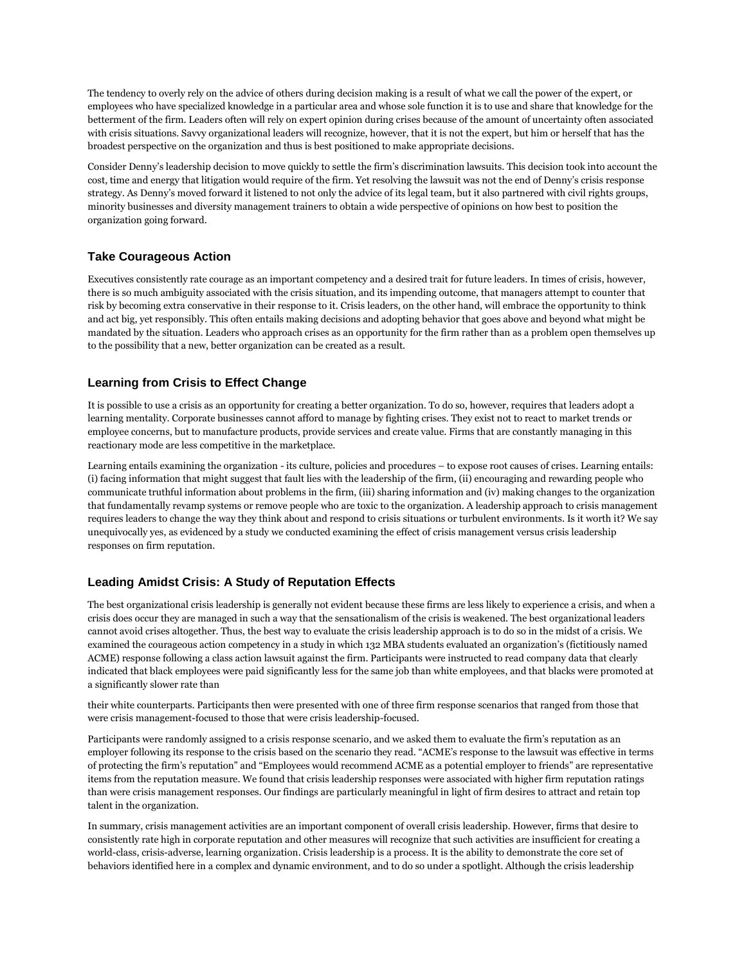The tendency to overly rely on the advice of others during decision making is a result of what we call the power of the expert, or employees who have specialized knowledge in a particular area and whose sole function it is to use and share that knowledge for the betterment of the firm. Leaders often will rely on expert opinion during crises because of the amount of uncertainty often associated with crisis situations. Savvy organizational leaders will recognize, however, that it is not the expert, but him or herself that has the broadest perspective on the organization and thus is best positioned to make appropriate decisions.

Consider Denny's leadership decision to move quickly to settle the firm's discrimination lawsuits. This decision took into account the cost, time and energy that litigation would require of the firm. Yet resolving the lawsuit was not the end of Denny's crisis response strategy. As Denny's moved forward it listened to not only the advice of its legal team, but it also partnered with civil rights groups, minority businesses and diversity management trainers to obtain a wide perspective of opinions on how best to position the organization going forward.

#### **Take Courageous Action**

Executives consistently rate courage as an important competency and a desired trait for future leaders. In times of crisis, however, there is so much ambiguity associated with the crisis situation, and its impending outcome, that managers attempt to counter that risk by becoming extra conservative in their response to it. Crisis leaders, on the other hand, will embrace the opportunity to think and act big, yet responsibly. This often entails making decisions and adopting behavior that goes above and beyond what might be mandated by the situation. Leaders who approach crises as an opportunity for the firm rather than as a problem open themselves up to the possibility that a new, better organization can be created as a result.

#### **Learning from Crisis to Effect Change**

It is possible to use a crisis as an opportunity for creating a better organization. To do so, however, requires that leaders adopt a learning mentality. Corporate businesses cannot afford to manage by fighting crises. They exist not to react to market trends or employee concerns, but to manufacture products, provide services and create value. Firms that are constantly managing in this reactionary mode are less competitive in the marketplace.

Learning entails examining the organization - its culture, policies and procedures – to expose root causes of crises. Learning entails: (i) facing information that might suggest that fault lies with the leadership of the firm, (ii) encouraging and rewarding people who communicate truthful information about problems in the firm, (iii) sharing information and (iv) making changes to the organization that fundamentally revamp systems or remove people who are toxic to the organization. A leadership approach to crisis management requires leaders to change the way they think about and respond to crisis situations or turbulent environments. Is it worth it? We say unequivocally yes, as evidenced by a study we conducted examining the effect of crisis management versus crisis leadership responses on firm reputation.

#### **Leading Amidst Crisis: A Study of Reputation Effects**

The best organizational crisis leadership is generally not evident because these firms are less likely to experience a crisis, and when a crisis does occur they are managed in such a way that the sensationalism of the crisis is weakened. The best organizational leaders cannot avoid crises altogether. Thus, the best way to evaluate the crisis leadership approach is to do so in the midst of a crisis. We examined the courageous action competency in a study in which 132 MBA students evaluated an organization's (fictitiously named ACME) response following a class action lawsuit against the firm. Participants were instructed to read company data that clearly indicated that black employees were paid significantly less for the same job than white employees, and that blacks were promoted at a significantly slower rate than

their white counterparts. Participants then were presented with one of three firm response scenarios that ranged from those that were crisis management-focused to those that were crisis leadership-focused.

Participants were randomly assigned to a crisis response scenario, and we asked them to evaluate the firm's reputation as an employer following its response to the crisis based on the scenario they read. "ACME's response to the lawsuit was effective in terms of protecting the firm's reputation" and "Employees would recommend ACME as a potential employer to friends" are representative items from the reputation measure. We found that crisis leadership responses were associated with higher firm reputation ratings than were crisis management responses. Our findings are particularly meaningful in light of firm desires to attract and retain top talent in the organization.

In summary, crisis management activities are an important component of overall crisis leadership. However, firms that desire to consistently rate high in corporate reputation and other measures will recognize that such activities are insufficient for creating a world-class, crisis-adverse, learning organization. Crisis leadership is a process. It is the ability to demonstrate the core set of behaviors identified here in a complex and dynamic environment, and to do so under a spotlight. Although the crisis leadership